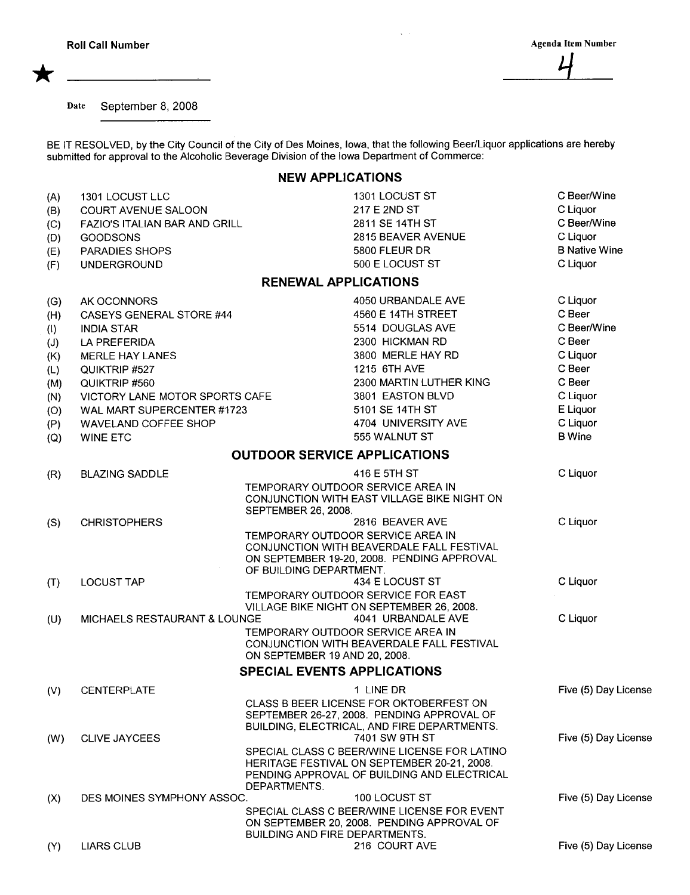\*

Date September 8, 2008

BE IT RESOLVED, by the City Council of the City of Des Moines, Iowa, that the following Beer/Liquor applications are hereby submitted for approval to the Alcoholic Beverage Division of the Iowa Department of Commerce:

## NEW APPLICATIONS

| (A) | 1301 LOCUST LLC                | 1301 LOCUST ST                                                                                                                                                    | C Beer/Wine          |
|-----|--------------------------------|-------------------------------------------------------------------------------------------------------------------------------------------------------------------|----------------------|
| (B) | <b>COURT AVENUE SALOON</b>     | 217 E 2ND ST                                                                                                                                                      | C Liquor             |
| (C) | FAZIO'S ITALIAN BAR AND GRILL  | 2811 SE 14TH ST                                                                                                                                                   | C Beer/Wine          |
| (D) | <b>GOODSONS</b>                | 2815 BEAVER AVENUE                                                                                                                                                | C Liquor             |
| (E) | PARADIES SHOPS                 | 5800 FLEUR DR                                                                                                                                                     | <b>B Native Wine</b> |
| (F) | <b>UNDERGROUND</b>             | 500 E LOCUST ST                                                                                                                                                   | C Liquor             |
|     |                                | <b>RENEWAL APPLICATIONS</b>                                                                                                                                       |                      |
| (G) | AK OCONNORS                    | 4050 URBANDALE AVE                                                                                                                                                | C Liquor             |
| (H) | CASEYS GENERAL STORE #44       | 4560 E 14TH STREET                                                                                                                                                | C Beer               |
| (1) | <b>INDIA STAR</b>              | 5514 DOUGLAS AVE                                                                                                                                                  | C Beer/Wine          |
| (J) | LA PREFERIDA                   | 2300 HICKMAN RD                                                                                                                                                   | C Beer               |
| (K) | MERLE HAY LANES                | 3800 MERLE HAY RD                                                                                                                                                 | C Liquor             |
| (L) | QUIKTRIP #527                  | 1215 6TH AVE                                                                                                                                                      | C Beer               |
| (M) | QUIKTRIP #560                  | 2300 MARTIN LUTHER KING                                                                                                                                           | C Beer               |
| (N) | VICTORY LANE MOTOR SPORTS CAFE | 3801 EASTON BLVD                                                                                                                                                  | C Liquor             |
| (O) | WAL MART SUPERCENTER #1723     | 5101 SE 14TH ST                                                                                                                                                   | E Liquor             |
| (P) | WAVELAND COFFEE SHOP           | 4704 UNIVERSITY AVE                                                                                                                                               | C Liquor             |
| (Q) | <b>WINE ETC</b>                | 555 WALNUT ST                                                                                                                                                     | <b>B</b> Wine        |
|     |                                | <b>OUTDOOR SERVICE APPLICATIONS</b>                                                                                                                               |                      |
| (R) | <b>BLAZING SADDLE</b>          | 416 E 5TH ST                                                                                                                                                      | C Liquor             |
|     |                                | TEMPORARY OUTDOOR SERVICE AREA IN<br>CONJUNCTION WITH EAST VILLAGE BIKE NIGHT ON<br>SEPTEMBER 26, 2008.                                                           |                      |
| (S) | <b>CHRISTOPHERS</b>            | 2816 BEAVER AVE                                                                                                                                                   | C Liquor             |
|     |                                | TEMPORARY OUTDOOR SERVICE AREA IN<br>CONJUNCTION WITH BEAVERDALE FALL FESTIVAL<br>ON SEPTEMBER 19-20, 2008. PENDING APPROVAL<br>OF BUILDING DEPARTMENT.           |                      |
| (T) | <b>LOCUST TAP</b>              | 434 E LOCUST ST                                                                                                                                                   | C Liquor             |
|     |                                | TEMPORARY OUTDOOR SERVICE FOR EAST<br>VILLAGE BIKE NIGHT ON SEPTEMBER 26, 2008.                                                                                   |                      |
| (U) | MICHAELS RESTAURANT & LOUNGE   | 4041 URBANDALE AVE                                                                                                                                                | C Liquor             |
|     |                                | TEMPORARY OUTDOOR SERVICE AREA IN<br>CONJUNCTION WITH BEAVERDALE FALL FESTIVAL<br>ON SEPTEMBER 19 AND 20, 2008.                                                   |                      |
|     |                                | <b>SPECIAL EVENTS APPLICATIONS</b>                                                                                                                                |                      |
| (V) | <b>CENTERPLATE</b>             | 1 LINE DR                                                                                                                                                         | Five (5) Day License |
|     |                                | CLASS B BEER LICENSE FOR OKTOBERFEST ON<br>SEPTEMBER 26-27, 2008. PENDING APPROVAL OF<br>BUILDING, ELECTRICAL, AND FIRE DEPARTMENTS.                              |                      |
| (W) | <b>CLIVE JAYCEES</b>           | 7401 SW 9TH ST                                                                                                                                                    | Five (5) Day License |
|     |                                | SPECIAL CLASS C BEER/WINE LICENSE FOR LATINO<br><b>HERITAGE FESTIVAL ON SEPTEMBER 20-21, 2008.</b><br>PENDING APPROVAL OF BUILDING AND ELECTRICAL<br>DEPARTMENTS. |                      |
| (X) | DES MOINES SYMPHONY ASSOC.     | 100 LOCUST ST                                                                                                                                                     | Five (5) Day License |
|     |                                | SPECIAL CLASS C BEER/WINE LICENSE FOR EVENT<br>ON SEPTEMBER 20, 2008. PENDING APPROVAL OF<br><b>BUILDING AND FIRE DEPARTMENTS.</b>                                |                      |
| (Y) | <b>LIARS CLUB</b>              | 216 COURT AVE                                                                                                                                                     | Five (5) Day License |
|     |                                |                                                                                                                                                                   |                      |